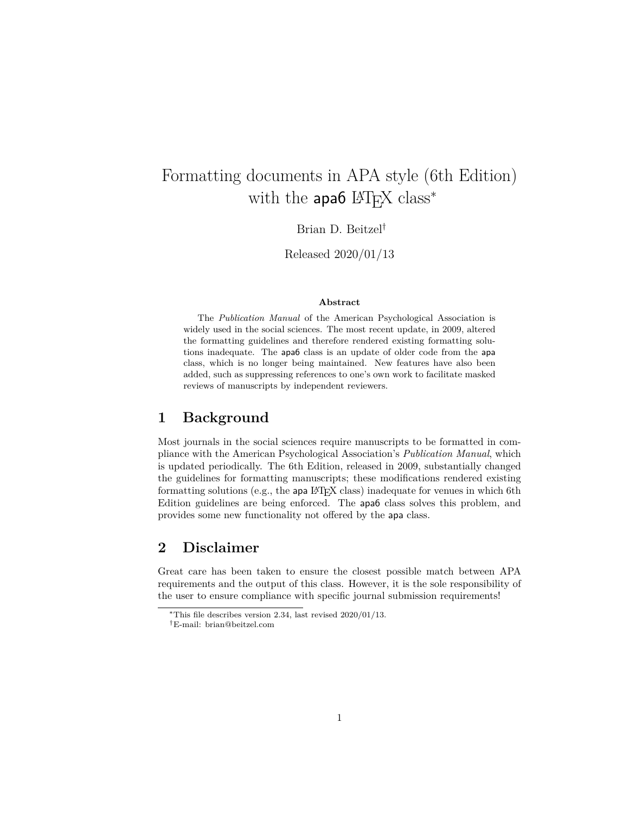# Formatting documents in APA style (6th Edition) with the  $apa6$  L<sup>AT</sup><sub>E</sub>X class<sup>\*</sup>

Brian D. Beitzel†

Released 2020/01/13

#### **Abstract**

The *Publication Manual* of the American Psychological Association is widely used in the social sciences. The most recent update, in 2009, altered the formatting guidelines and therefore rendered existing formatting solutions inadequate. The apa6 class is an update of older code from the apa class, which is no longer being maintained. New features have also been added, such as suppressing references to one's own work to facilitate masked reviews of manuscripts by independent reviewers.

## **1 Background**

Most journals in the social sciences require manuscripts to be formatted in compliance with the American Psychological Association's *Publication Manual*, which is updated periodically. The 6th Edition, released in 2009, substantially changed the guidelines for formatting manuscripts; these modifications rendered existing formatting solutions (e.g., the apa LATEX class) inadequate for venues in which 6th Edition guidelines are being enforced. The apa6 class solves this problem, and provides some new functionality not offered by the apa class.

## **2 Disclaimer**

Great care has been taken to ensure the closest possible match between APA requirements and the output of this class. However, it is the sole responsibility of the user to ensure compliance with specific journal submission requirements!

<sup>∗</sup>This file describes version 2.34, last revised 2020/01/13.

<sup>†</sup>E-mail: brian@beitzel.com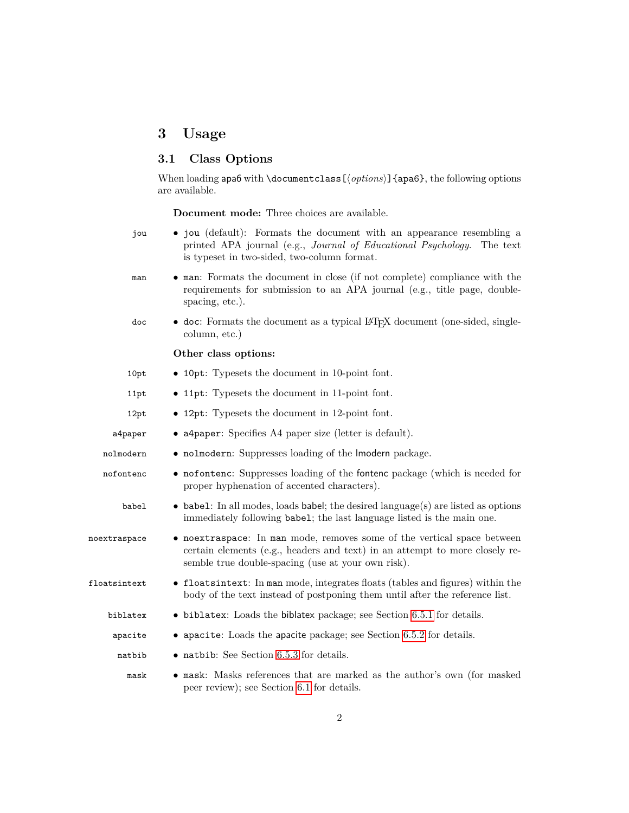# **3 Usage**

## **3.1 Class Options**

When loading  $\mathsf{ap}$  apa6 with **\documentclass** [ $\langle options \rangle$ ] {apa6}, the following options are available.

**Document mode:** Three choices are available.

| jou                   | • jou (default): Formats the document with an appearance resembling a<br>printed APA journal (e.g., Journal of Educational Psychology.<br>The text<br>is typeset in two-sided, two-column format.            |
|-----------------------|--------------------------------------------------------------------------------------------------------------------------------------------------------------------------------------------------------------|
| man                   | • man: Formats the document in close (if not complete) compliance with the<br>requirements for submission to an APA journal (e.g., title page, double-<br>spacing, etc.).                                    |
| doc                   | • doc: Formats the document as a typical IATEX document (one-sided, single-<br>column, etc.)                                                                                                                 |
|                       | Other class options:                                                                                                                                                                                         |
| 10pt                  | • 10pt: Typesets the document in 10-point font.                                                                                                                                                              |
| 11pt                  | • 11pt: Typesets the document in 11-point font.                                                                                                                                                              |
| 12pt                  | • 12pt: Typesets the document in 12-point font.                                                                                                                                                              |
| a4paper               | • a4paper: Specifies A4 paper size (letter is default).                                                                                                                                                      |
| nolmodern             | • nolmodern: Suppresses loading of the Imodern package.                                                                                                                                                      |
| nofontenc             | • nofontenc: Suppresses loading of the fontenc package (which is needed for<br>proper hyphenation of accented characters).                                                                                   |
| babel                 | $\bullet$ babel: In all modes, loads babel; the desired language(s) are listed as options<br>immediately following babel; the last language listed is the main one.                                          |
| noextraspace          | • noextraspace: In man mode, removes some of the vertical space between<br>certain elements (e.g., headers and text) in an attempt to more closely re-<br>semble true double-spacing (use at your own risk). |
| $_{\rm floatsintext}$ | • floatsintext: In man mode, integrates floats (tables and figures) within the<br>body of the text instead of postponing them until after the reference list.                                                |
| biblatex              | $\bullet$ biblatex: Loads the biblatex package; see Section 6.5.1 for details.                                                                                                                               |
| apacite               | $\bullet$ apacite: Loads the apacite package; see Section 6.5.2 for details.                                                                                                                                 |
| natbib                | $\bullet$ natbib: See Section 6.5.3 for details.                                                                                                                                                             |
| mask                  | • mask: Masks references that are marked as the author's own (for masked<br>peer review); see Section 6.1 for details.                                                                                       |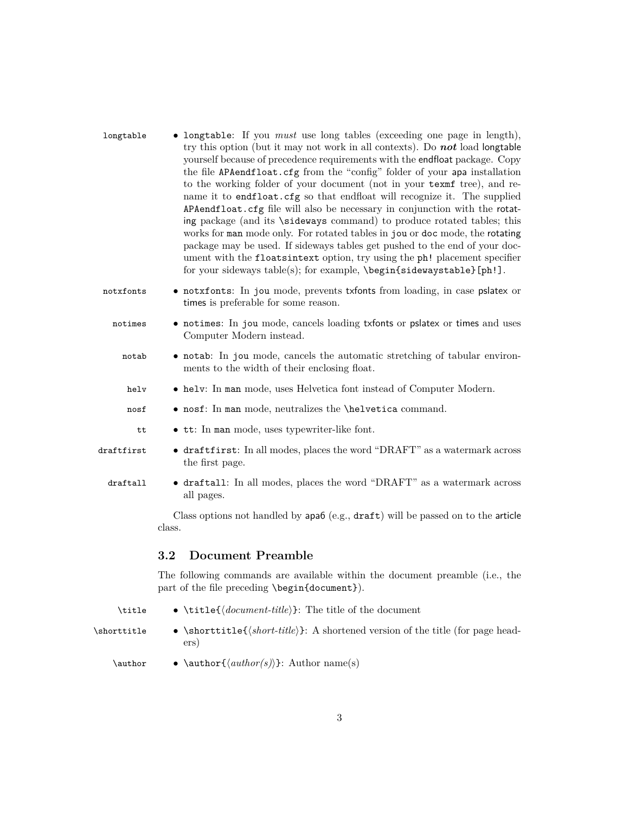| longtable  | • longtable: If you <i>must</i> use long tables (exceeding one page in length),<br>try this option (but it may not work in all contexts). Do not load longtable<br>yourself because of precedence requirements with the endfloat package. Copy<br>the file APAendfloat.cfg from the "config" folder of your apa installation<br>to the working folder of your document (not in your texmf tree), and re-<br>name it to endfloat.cfg so that endfloat will recognize it. The supplied<br>APAendfloat.cfg file will also be necessary in conjunction with the rotat-<br>ing package (and its \sideways command) to produce rotated tables; this<br>works for man mode only. For rotated tables in jou or doc mode, the rotating<br>package may be used. If sideways tables get pushed to the end of your doc-<br>ument with the floatsintext option, try using the ph! placement specifier<br>for your sideways table(s); for example, \begin{sidewaystable}[ph!]. |
|------------|------------------------------------------------------------------------------------------------------------------------------------------------------------------------------------------------------------------------------------------------------------------------------------------------------------------------------------------------------------------------------------------------------------------------------------------------------------------------------------------------------------------------------------------------------------------------------------------------------------------------------------------------------------------------------------------------------------------------------------------------------------------------------------------------------------------------------------------------------------------------------------------------------------------------------------------------------------------|
| notxfonts  | • notxfonts: In jou mode, prevents txfonts from loading, in case pslatex or<br>times is preferable for some reason.                                                                                                                                                                                                                                                                                                                                                                                                                                                                                                                                                                                                                                                                                                                                                                                                                                              |
| notimes    | • notimes: In jou mode, cancels loading txfonts or pslatex or times and uses<br>Computer Modern instead.                                                                                                                                                                                                                                                                                                                                                                                                                                                                                                                                                                                                                                                                                                                                                                                                                                                         |
| notab      | • notab: In jou mode, cancels the automatic stretching of tabular environ-<br>ments to the width of their enclosing float.                                                                                                                                                                                                                                                                                                                                                                                                                                                                                                                                                                                                                                                                                                                                                                                                                                       |
| helv       | • helv: In man mode, uses Helvetica font instead of Computer Modern.                                                                                                                                                                                                                                                                                                                                                                                                                                                                                                                                                                                                                                                                                                                                                                                                                                                                                             |
| nosf       | • nosf: In man mode, neutralizes the \helvetica command.                                                                                                                                                                                                                                                                                                                                                                                                                                                                                                                                                                                                                                                                                                                                                                                                                                                                                                         |
| tt         | • tt: In man mode, uses typewriter-like font.                                                                                                                                                                                                                                                                                                                                                                                                                                                                                                                                                                                                                                                                                                                                                                                                                                                                                                                    |
| draftfirst | • draftfirst: In all modes, places the word "DRAFT" as a watermark across<br>the first page.                                                                                                                                                                                                                                                                                                                                                                                                                                                                                                                                                                                                                                                                                                                                                                                                                                                                     |
| draftall   | • draftall: In all modes, places the word "DRAFT" as a watermark across<br>all pages.                                                                                                                                                                                                                                                                                                                                                                                                                                                                                                                                                                                                                                                                                                                                                                                                                                                                            |
|            | Class options not handled by apa6 (e.g., draft) will be passed on to the article<br>class.                                                                                                                                                                                                                                                                                                                                                                                                                                                                                                                                                                                                                                                                                                                                                                                                                                                                       |
|            | 3.2<br><b>Document Preamble</b>                                                                                                                                                                                                                                                                                                                                                                                                                                                                                                                                                                                                                                                                                                                                                                                                                                                                                                                                  |
|            | The following commands are available within the document preamble (i.e., the                                                                                                                                                                                                                                                                                                                                                                                                                                                                                                                                                                                                                                                                                                                                                                                                                                                                                     |

\title  $\bullet$  \title{\*document-title*}}: The title of the document

part of the file preceding \begin{document}).

\shorttitle  $\bullet \ \shortparallel$ \shorttitle{ $\langle short\text{-}title \rangle$ }: A shortened version of the title (for page headers)

\author • \author{h*author(s)*i}: Author name(s)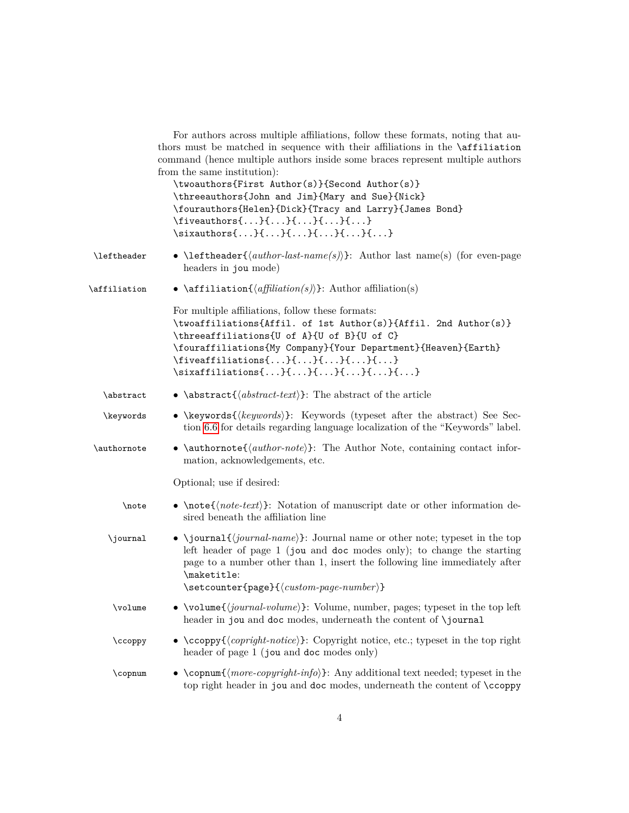|              | For authors across multiple affiliations, follow these formats, noting that au-<br>thors must be matched in sequence with their affiliations in the <b>\affiliation</b><br>command (hence multiple authors inside some braces represent multiple authors<br>from the same institution):<br>\twoauthors{First Author(s)}{Second Author(s)}<br>\threeauthors{John and Jim}{Mary and Sue}{Nick}<br>\fourauthors{Helen}{Dick}{Tracy and Larry}{James Bond}<br>$\{ \ldots \} \{ \ldots \} \{ \ldots \} \{ \ldots \}$ |
|--------------|-----------------------------------------------------------------------------------------------------------------------------------------------------------------------------------------------------------------------------------------------------------------------------------------------------------------------------------------------------------------------------------------------------------------------------------------------------------------------------------------------------------------|
| \leftheader  | • \leftheader{ $\langle author\text{-}last\text{-}name(s)\rangle$ }: Author last name(s) (for even-page<br>headers in jou mode)                                                                                                                                                                                                                                                                                                                                                                                 |
| \affiliation | • $\affilication({affiliation(s)})$ : Author affiliation(s)                                                                                                                                                                                                                                                                                                                                                                                                                                                     |
|              | For multiple affiliations, follow these formats:<br>\twoaffiliations{Affil. of 1st Author(s)}{Affil. 2nd Author(s)}<br>\threeaffiliations{U of A}{U of B}{U of C}<br>\fouraffiliations{My Company}{Your Department}{Heaven}{Earth}<br>$\{ \dots \} \{ \dots \} \{ \dots \} \{ \dots \}$                                                                                                                                                                                                                         |
| \abstract    | • \abstract{ $\langle abstract\text{!}\rangle$ }: The abstract of the article                                                                                                                                                                                                                                                                                                                                                                                                                                   |
| \keywords    | • \keywords{ $\{keywords\}$ : Keywords (typeset after the abstract) See Sec-<br>tion 6.6 for details regarding language localization of the "Keywords" label.                                                                                                                                                                                                                                                                                                                                                   |
| \authornote  | • \authornote{ $\{author\}$ : The Author Note, containing contact infor-<br>mation, acknowledgements, etc.                                                                                                                                                                                                                                                                                                                                                                                                      |
|              | Optional; use if desired:                                                                                                                                                                                                                                                                                                                                                                                                                                                                                       |
| \note        | • \note { $\langle note \cdot text \rangle$ }: Notation of manuscript date or other information de-<br>sired beneath the affiliation line                                                                                                                                                                                                                                                                                                                                                                       |
| \journal     | • \journal{ $\langle journal\text{-}name\rangle$ }: Journal name or other note; typeset in the top<br>left header of page $1$ (jou and doc modes only); to change the starting<br>page to a number other than 1, insert the following line immediately after<br>\maketitle:<br>$\setminus$ setcounter{page}{ $\langle custom\text{-}page\text{-}number\rangle$ }                                                                                                                                                |
| \volume      | • \volume{ $\langle journal-volume\rangle$ }: Volume, number, pages; typeset in the top left                                                                                                                                                                                                                                                                                                                                                                                                                    |
|              | header in jou and doc modes, underneath the content of \journal                                                                                                                                                                                                                                                                                                                                                                                                                                                 |
| \ccoppy      | • $\cospy{\langle \textit{copright-notice} \rangle}$ : Copyright notice, etc.; typeset in the top right<br>header of page 1 (jou and doc modes only)                                                                                                                                                                                                                                                                                                                                                            |
| \copnum      | • \copnum{ $\langle more-copy right-info\rangle$ }: Any additional text needed; typeset in the<br>top right header in jou and doc modes, underneath the content of \ccoppy                                                                                                                                                                                                                                                                                                                                      |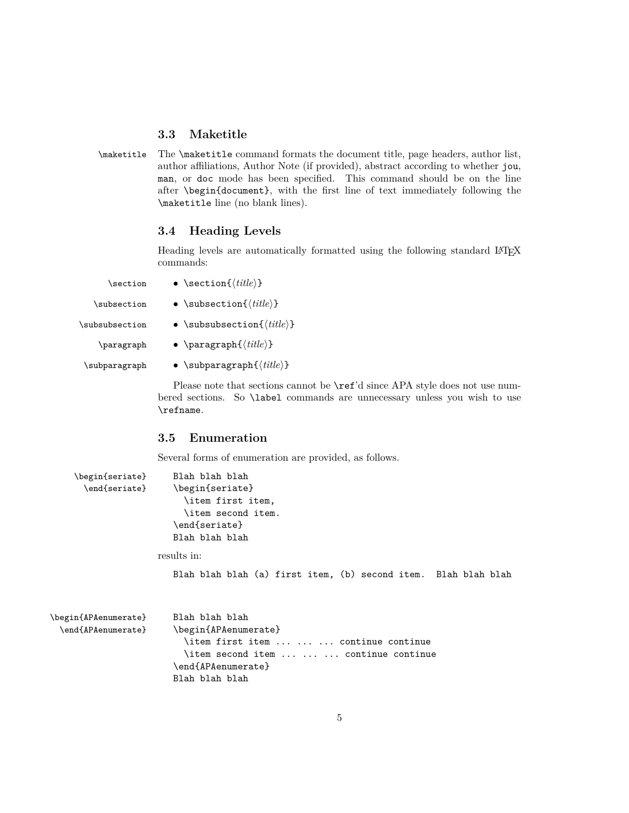#### **3.3 Maketitle**

\maketitle The \maketitle command formats the document title, page headers, author list, author affiliations, Author Note (if provided), abstract according to whether jou, man, or doc mode has been specified. This command should be on the line after \begin{document}, with the first line of text immediately following the \maketitle line (no blank lines).

### **3.4 Heading Levels**

Heading levels are automatically formatted using the following standard LAT<sub>E</sub>X commands:

| \section       | • \section{ $\langle title \rangle$ }        |
|----------------|----------------------------------------------|
| \subsection    | $\bullet$ \subsection{ $\{title\}$ }         |
| \subsubsection | • \subsubsection ${ \langle title \rangle }$ |
| \paragraph     | • \paragraph $\{\langle title \rangle\}$     |
| \subparagraph  | • \subparagraph $\{\langle title \rangle\}$  |

Please note that sections cannot be  $\ref{d}$  since APA style does not use numbered sections. So \label commands are unnecessary unless you wish to use \refname.

#### **3.5 Enumeration**

\end{APAenumerate} Blah blah blah

Several forms of enumeration are provided, as follows.

```
\begin{seriate} Blah blah blah
      \end{seriate} \begin{seriate}
                         \item first item,
                         \item second item.
                      \end{seriate}
                      Blah blah blah
                   results in:
                      Blah blah blah (a) first item, (b) second item. Blah blah blah
\begin{APAenumerate} Blah blah blah
 \end{APAenumerate} \begin{APAenumerate}
                        \item first item ... ... ... continue continue
                         \item second item ... ... ... continue continue
```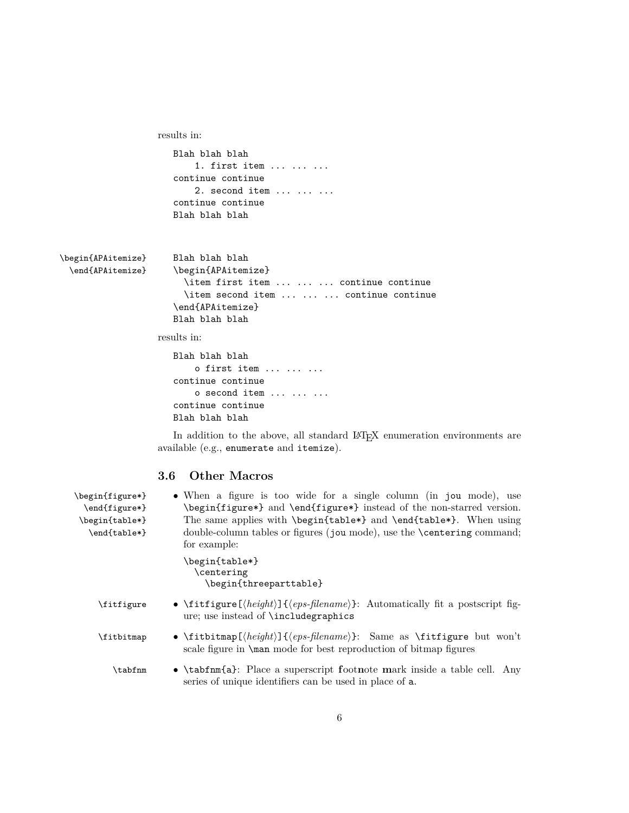```
results in:
                     Blah blah blah
                          1. first item ... ... ...
                     continue continue
                          2. second item \cdots \cdots ...
                     continue continue
                     Blah blah blah
\begin{APAitemize} Blah blah blah
 \end{APAitemize} \begin{APAitemize}
                       \item first item ... ... ... continue continue
                       \item second item ... ... ... continue continue
                     \end{APAitemize}
                     Blah blah blah
                  results in:
                     Blah blah blah
                         o first item ... ... ...
                     continue continue
                          o second item ... ... ...
```
In addition to the above, all standard LAT<sub>E</sub>X enumeration environments are available (e.g., enumerate and itemize).

#### **3.6 Other Macros**

continue continue Blah blah blah

| \begin{figure*}<br>\end{figure*}<br>\begin{table*}<br>\end{table*} | • When a figure is too wide for a single column (in jou mode), use<br>\begin{figure*} and \end{figure*} instead of the non-starred version.<br>The same applies with \begin{table*} and \end{table*}. When using<br>double-column tables or figures (jou mode), use the <b>\centering</b> command;<br>for example: |
|--------------------------------------------------------------------|--------------------------------------------------------------------------------------------------------------------------------------------------------------------------------------------------------------------------------------------------------------------------------------------------------------------|
|                                                                    | \begin{table*}<br>\centering<br>\begin{threeparttable}                                                                                                                                                                                                                                                             |
| \fitfigure                                                         | • \fittigure[ $\langle height \rangle$ ]{ $\langleeps\text{-}filename \rangle$ }: Automatically fit a postscript fig-<br>ure; use instead of \includegraphics                                                                                                                                                      |
| \fitbitmap                                                         | • \fitbitmap[ $\{height\}$ ]{ $\{eps\$ -filename}}: Same as \fitfigure but won't<br>scale figure in <b>\man</b> mode for best reproduction of bitmap figures                                                                                                                                                       |
| \tabfnm                                                            | • \tabfnm{a}: Place a superscript footnote mark inside a table cell. Any<br>series of unique identifiers can be used in place of <b>a</b> .                                                                                                                                                                        |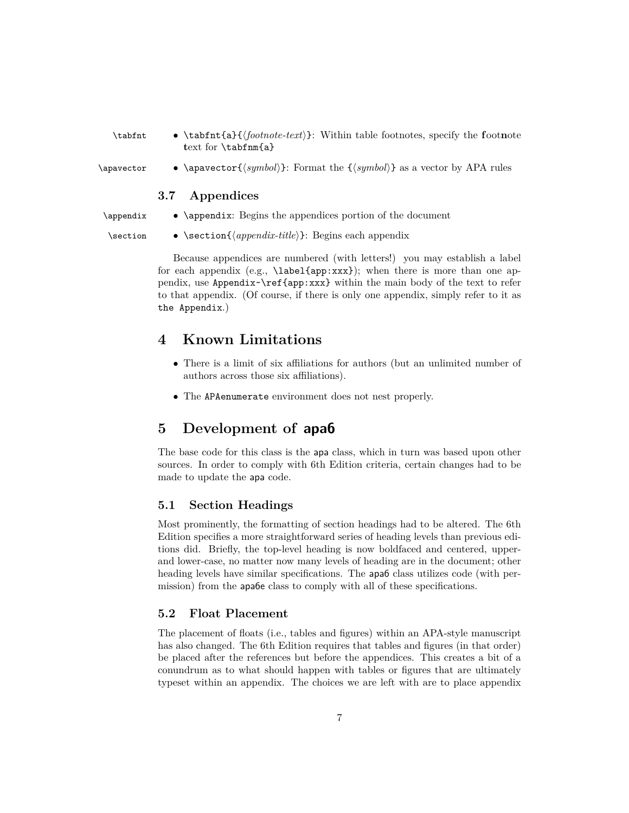| \tabfnt | • \tabfnt{a}{ $\{footnote\text{·}$ }: Within table footnotes, specify the footnote |  |
|---------|------------------------------------------------------------------------------------|--|
|         | text for \tabfnm{a}                                                                |  |

\apavector • \apavector{*\symbol*}: Format the {*\symbol*}} as a vector by APA rules

#### **3.7 Appendices**

- \appendix \appendix: Begins the appendices portion of the document
	-
- \section \section{h*appendix-title*i}: Begins each appendix

Because appendices are numbered (with letters!) you may establish a label for each appendix (e.g., \label{app:xxx}); when there is more than one appendix, use Appendix~\ref{app:xxx} within the main body of the text to refer to that appendix. (Of course, if there is only one appendix, simply refer to it as the Appendix.)

## **4 Known Limitations**

- There is a limit of six affiliations for authors (but an unlimited number of authors across those six affiliations).
- The APAenumerate environment does not nest properly.

## **5 Development of apa6**

The base code for this class is the apa class, which in turn was based upon other sources. In order to comply with 6th Edition criteria, certain changes had to be made to update the apa code.

#### **5.1 Section Headings**

Most prominently, the formatting of section headings had to be altered. The 6th Edition specifies a more straightforward series of heading levels than previous editions did. Briefly, the top-level heading is now boldfaced and centered, upperand lower-case, no matter now many levels of heading are in the document; other heading levels have similar specifications. The apa6 class utilizes code (with permission) from the apa6e class to comply with all of these specifications.

#### **5.2 Float Placement**

The placement of floats (i.e., tables and figures) within an APA-style manuscript has also changed. The 6th Edition requires that tables and figures (in that order) be placed after the references but before the appendices. This creates a bit of a conundrum as to what should happen with tables or figures that are ultimately typeset within an appendix. The choices we are left with are to place appendix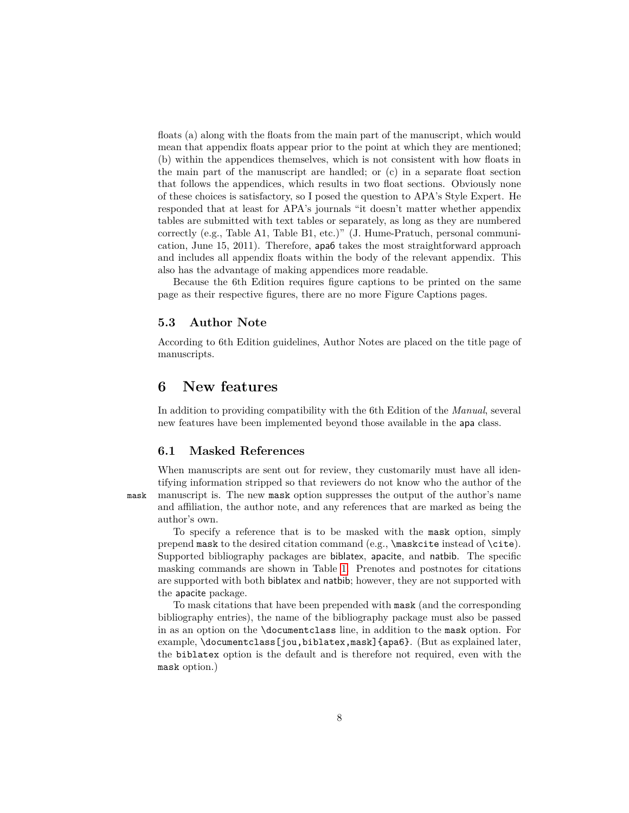floats (a) along with the floats from the main part of the manuscript, which would mean that appendix floats appear prior to the point at which they are mentioned; (b) within the appendices themselves, which is not consistent with how floats in the main part of the manuscript are handled; or (c) in a separate float section that follows the appendices, which results in two float sections. Obviously none of these choices is satisfactory, so I posed the question to APA's Style Expert. He responded that at least for APA's journals "it doesn't matter whether appendix tables are submitted with text tables or separately, as long as they are numbered correctly (e.g., Table A1, Table B1, etc.)" (J. Hume-Pratuch, personal communication, June 15, 2011). Therefore, apa6 takes the most straightforward approach and includes all appendix floats within the body of the relevant appendix. This also has the advantage of making appendices more readable.

Because the 6th Edition requires figure captions to be printed on the same page as their respective figures, there are no more Figure Captions pages.

#### **5.3 Author Note**

According to 6th Edition guidelines, Author Notes are placed on the title page of manuscripts.

## **6 New features**

In addition to providing compatibility with the 6th Edition of the *Manual*, several new features have been implemented beyond those available in the apa class.

#### <span id="page-7-0"></span>**6.1 Masked References**

When manuscripts are sent out for review, they customarily must have all identifying information stripped so that reviewers do not know who the author of the mask manuscript is. The new mask option suppresses the output of the author's name and affiliation, the author note, and any references that are marked as being the author's own.

To specify a reference that is to be masked with the mask option, simply prepend mask to the desired citation command (e.g.,  $\text{masked of } \cite{$ ). Supported bibliography packages are biblatex, apacite, and natbib. The specific masking commands are shown in Table [1.](#page-8-0) Prenotes and postnotes for citations are supported with both biblatex and natbib; however, they are not supported with the apacite package.

To mask citations that have been prepended with mask (and the corresponding bibliography entries), the name of the bibliography package must also be passed in as an option on the \documentclass line, in addition to the mask option. For example, \documentclass[jou,biblatex,mask]{apa6}. (But as explained later, the biblatex option is the default and is therefore not required, even with the mask option.)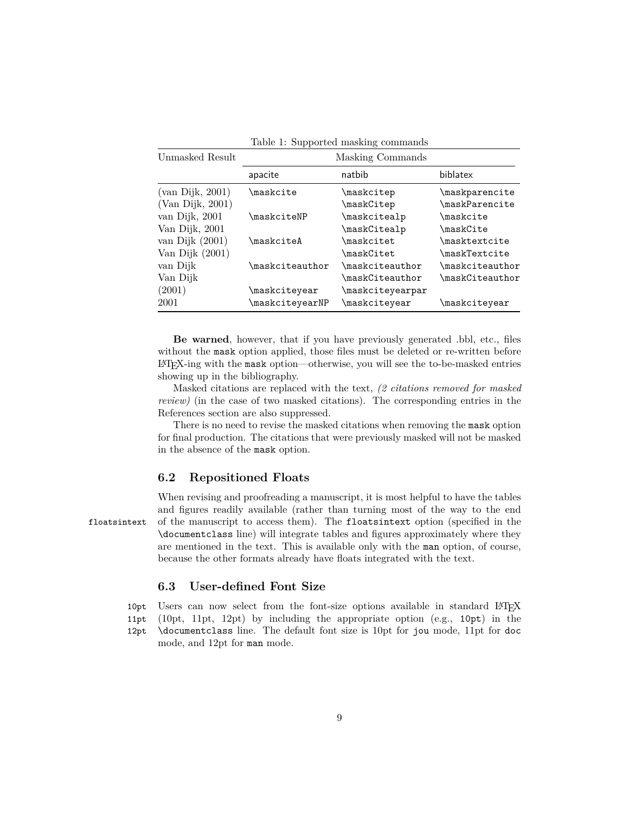|                     |                                 | Table 1. Dupported masking commands |                                |
|---------------------|---------------------------------|-------------------------------------|--------------------------------|
| Unmasked Result     | Masking Commands                |                                     |                                |
|                     | apacite                         | natbib                              | biblatex                       |
| (van Dijk, 2001)    | \maskcite                       | \maskcitep                          | \maskparencite                 |
| $(Van\ Dijk, 2001)$ |                                 | \maskCitep                          | $\texttt{\textbackPar}$ encite |
| van Dijk, 2001      | \maskciteNP                     | \maskcitealp                        | \maskcite                      |
| Van Dijk, 2001      |                                 | \maskCitealp                        | \maskCite                      |
| van Dijk $(2001)$   | $\backslash$ maskcite $\Lambda$ | \maskcitet                          | <b>\masktextcite</b>           |
| Van Dijk (2001)     |                                 | \maskCitet                          | \maskTextcite                  |
| van Dijk            | $\backslash$ maskciteauthor     | $\texttt{\textbackciteauthor}$      | $\texttt{\textbackciteauthor}$ |
| Van Dijk            |                                 | $\backslash$ mask $C$ iteauthor     | \maskCiteauthor                |
| (2001)              | \maskciteyear                   | \maskciteyearpar                    |                                |
| 2001                | \maskciteyearNP                 | \maskciteyear                       | \maskciteyear                  |

<span id="page-8-0"></span>Table 1: Supported masking commands

**Be warned**, however, that if you have previously generated .bbl, etc., files without the mask option applied, those files must be deleted or re-written before LATEX-ing with the mask option—otherwise, you will see the to-be-masked entries showing up in the bibliography.

Masked citations are replaced with the text, *(2 citations removed for masked review)* (in the case of two masked citations). The corresponding entries in the References section are also suppressed.

There is no need to revise the masked citations when removing the mask option for final production. The citations that were previously masked will not be masked in the absence of the mask option.

#### **6.2 Repositioned Floats**

When revising and proofreading a manuscript, it is most helpful to have the tables and figures readily available (rather than turning most of the way to the end floatsintext of the manuscript to access them). The floatsintext option (specified in the \documentclass line) will integrate tables and figures approximately where they are mentioned in the text. This is available only with the man option, of course, because the other formats already have floats integrated with the text.

### **6.3 User-defined Font Size**

10pt Users can now select from the font-size options available in standard LATEX 11pt (10pt, 11pt, 12pt) by including the appropriate option (e.g., 10pt) in the

12pt \documentclass line. The default font size is 10pt for jou mode, 11pt for doc mode, and 12pt for man mode.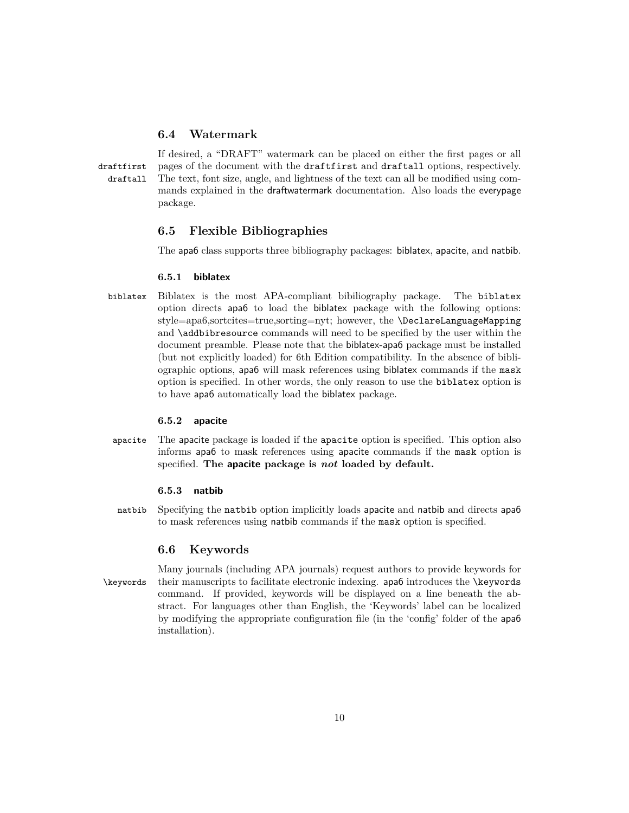### **6.4 Watermark**

If desired, a "DRAFT" watermark can be placed on either the first pages or all draftfirst pages of the document with the draftfirst and draftall options, respectively. draftall The text, font size, angle, and lightness of the text can all be modified using commands explained in the draftwatermark documentation. Also loads the everypage package.

### **6.5 Flexible Bibliographies**

The apa6 class supports three bibliography packages: biblatex, apacite, and natbib.

#### <span id="page-9-0"></span>**6.5.1 biblatex**

biblatex Biblatex is the most APA-compliant bibiliography package. The biblatex option directs apa6 to load the biblatex package with the following options: style=apa6,sortcites=true,sorting=nyt; however, the \DeclareLanguageMapping and **\addbibresource** commands will need to be specified by the user within the document preamble. Please note that the biblatex-apa6 package must be installed (but not explicitly loaded) for 6th Edition compatibility. In the absence of bibliographic options, apa6 will mask references using biblatex commands if the mask option is specified. In other words, the only reason to use the biblatex option is to have apa6 automatically load the biblatex package.

#### <span id="page-9-1"></span>**6.5.2 apacite**

apacite The apacite package is loaded if the apacite option is specified. This option also informs apa6 to mask references using apacite commands if the mask option is specified. **The apacite package is** *not* **loaded by default.**

#### <span id="page-9-2"></span>**6.5.3 natbib**

natbib Specifying the natbib option implicitly loads apacite and natbib and directs apa6 to mask references using natbib commands if the mask option is specified.

#### <span id="page-9-3"></span>**6.6 Keywords**

Many journals (including APA journals) request authors to provide keywords for \keywords their manuscripts to facilitate electronic indexing. apa6 introduces the \keywords command. If provided, keywords will be displayed on a line beneath the abstract. For languages other than English, the 'Keywords' label can be localized by modifying the appropriate configuration file (in the 'config' folder of the apa6 installation).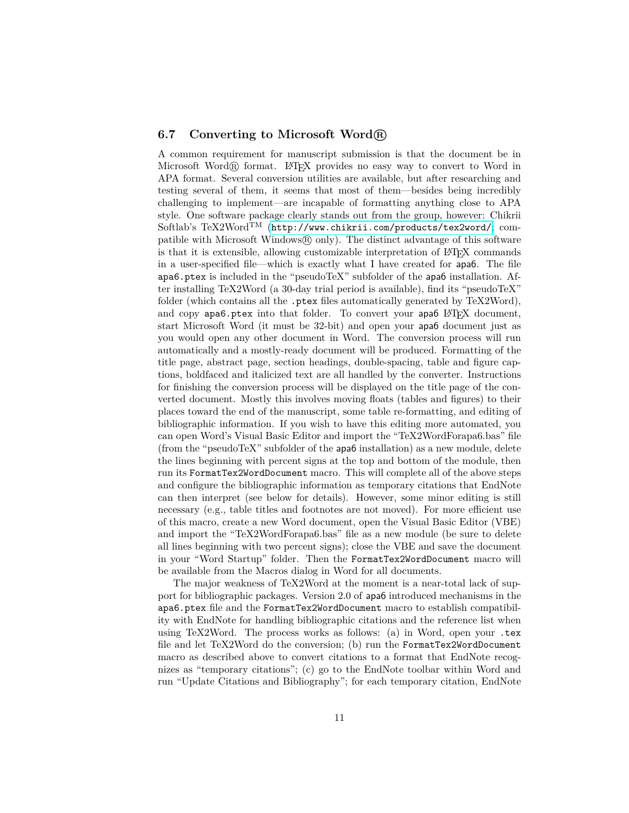#### **6.7 Converting to Microsoft Word <sup>R</sup>**

A common requirement for manuscript submission is that the document be in Microsoft Word $(\mathbb{R})$  format. LAT<sub>EX</sub> provides no easy way to convert to Word in APA format. Several conversion utilities are available, but after researching and testing several of them, it seems that most of them—besides being incredibly challenging to implement—are incapable of formatting anything close to APA style. One software package clearly stands out from the group, however: Chikrii Softlab's TeX2Word<sup>TM</sup> (<http://www.chikrii.com/products/tex2word/>; compatible with Microsoft Windows $\circledR$  only). The distinct advantage of this software is that it is extensible, allowing customizable interpretation of LAT<sub>EX</sub> commands in a user-specified file—which is exactly what I have created for apa6. The file apa6.ptex is included in the "pseudoTeX" subfolder of the apa6 installation. After installing TeX2Word (a 30-day trial period is available), find its "pseudoTeX" folder (which contains all the .ptex files automatically generated by TeX2Word), and copy apa6.ptex into that folder. To convert your apa6 LATEX document, start Microsoft Word (it must be 32-bit) and open your apa6 document just as you would open any other document in Word. The conversion process will run automatically and a mostly-ready document will be produced. Formatting of the title page, abstract page, section headings, double-spacing, table and figure captions, boldfaced and italicized text are all handled by the converter. Instructions for finishing the conversion process will be displayed on the title page of the converted document. Mostly this involves moving floats (tables and figures) to their places toward the end of the manuscript, some table re-formatting, and editing of bibliographic information. If you wish to have this editing more automated, you can open Word's Visual Basic Editor and import the "TeX2WordForapa6.bas" file (from the "pseudoTeX" subfolder of the apa6 installation) as a new module, delete the lines beginning with percent signs at the top and bottom of the module, then run its FormatTex2WordDocument macro. This will complete all of the above steps and configure the bibliographic information as temporary citations that EndNote can then interpret (see below for details). However, some minor editing is still necessary (e.g., table titles and footnotes are not moved). For more efficient use of this macro, create a new Word document, open the Visual Basic Editor (VBE) and import the "TeX2WordForapa6.bas" file as a new module (be sure to delete all lines beginning with two percent signs); close the VBE and save the document in your "Word Startup" folder. Then the FormatTex2WordDocument macro will be available from the Macros dialog in Word for all documents.

The major weakness of TeX2Word at the moment is a near-total lack of support for bibliographic packages. Version 2.0 of apa6 introduced mechanisms in the apa6.ptex file and the FormatTex2WordDocument macro to establish compatibility with EndNote for handling bibliographic citations and the reference list when using TeX2Word. The process works as follows: (a) in Word, open your .tex file and let TeX2Word do the conversion; (b) run the FormatTex2WordDocument macro as described above to convert citations to a format that EndNote recognizes as "temporary citations"; (c) go to the EndNote toolbar within Word and run "Update Citations and Bibliography"; for each temporary citation, EndNote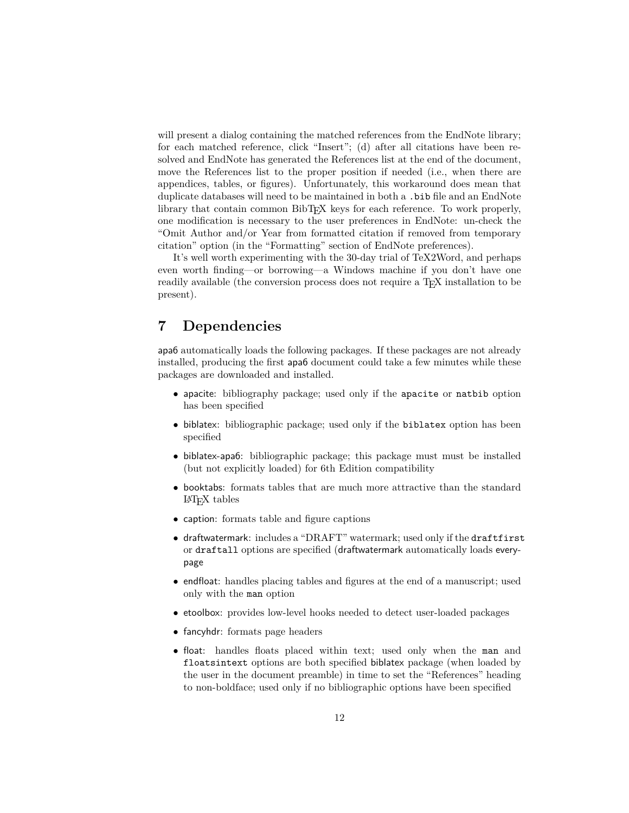will present a dialog containing the matched references from the EndNote library; for each matched reference, click "Insert"; (d) after all citations have been resolved and EndNote has generated the References list at the end of the document, move the References list to the proper position if needed (i.e., when there are appendices, tables, or figures). Unfortunately, this workaround does mean that duplicate databases will need to be maintained in both a .bib file and an EndNote library that contain common BibTEX keys for each reference. To work properly, one modification is necessary to the user preferences in EndNote: un-check the "Omit Author and/or Year from formatted citation if removed from temporary citation" option (in the "Formatting" section of EndNote preferences).

It's well worth experimenting with the 30-day trial of TeX2Word, and perhaps even worth finding—or borrowing—a Windows machine if you don't have one readily available (the conversion process does not require a TEX installation to be present).

## **7 Dependencies**

apa6 automatically loads the following packages. If these packages are not already installed, producing the first apa6 document could take a few minutes while these packages are downloaded and installed.

- apacite: bibliography package; used only if the apacite or natbib option has been specified
- biblatex: bibliographic package; used only if the **biblatex** option has been specified
- biblatex-apa6: bibliographic package; this package must must be installed (but not explicitly loaded) for 6th Edition compatibility
- booktabs: formats tables that are much more attractive than the standard LATEX tables
- caption: formats table and figure captions
- draftwatermark: includes a "DRAFT" watermark; used only if the draftfirst or draftall options are specified (draftwatermark automatically loads everypage
- endfloat: handles placing tables and figures at the end of a manuscript; used only with the man option
- etoolbox: provides low-level hooks needed to detect user-loaded packages
- fancyhdr: formats page headers
- float: handles floats placed within text; used only when the man and floatsintext options are both specified biblatex package (when loaded by the user in the document preamble) in time to set the "References" heading to non-boldface; used only if no bibliographic options have been specified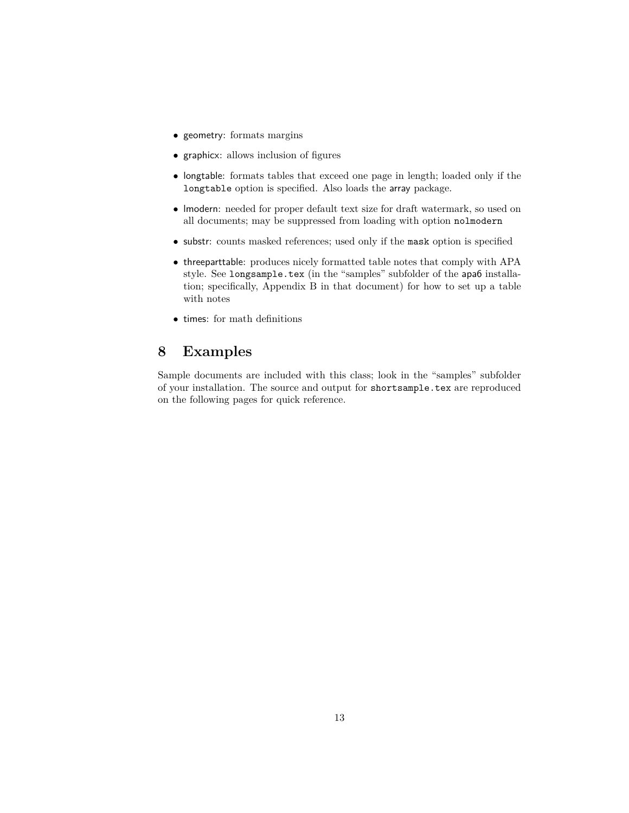- geometry: formats margins
- graphicx: allows inclusion of figures
- longtable: formats tables that exceed one page in length; loaded only if the longtable option is specified. Also loads the array package.
- lmodern: needed for proper default text size for draft watermark, so used on all documents; may be suppressed from loading with option nolmodern
- substr: counts masked references; used only if the mask option is specified
- threeparttable: produces nicely formatted table notes that comply with APA style. See longsample.tex (in the "samples" subfolder of the apa6 installation; specifically, Appendix B in that document) for how to set up a table with notes
- times: for math definitions

## **8 Examples**

Sample documents are included with this class; look in the "samples" subfolder of your installation. The source and output for shortsample.tex are reproduced on the following pages for quick reference.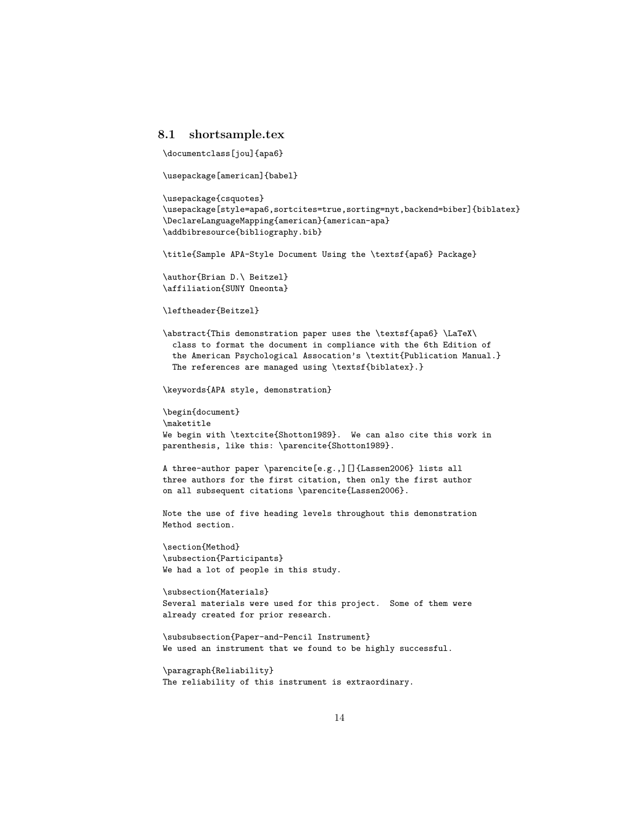#### **8.1 shortsample.tex**

```
\documentclass[jou]{apa6}
```
\usepackage[american]{babel}

```
\usepackage{csquotes}
\usepackage[style=apa6,sortcites=true,sorting=nyt,backend=biber]{biblatex}
\DeclareLanguageMapping{american}{american-apa}
\addbibresource{bibliography.bib}
\title{Sample APA-Style Document Using the \textsf{apa6} Package}
\author{Brian D.\ Beitzel}
\affiliation{SUNY Oneonta}
\leftheader{Beitzel}
\abstract{This demonstration paper uses the \textsf{apa6} \LaTeX\
  class to format the document in compliance with the 6th Edition of
  the American Psychological Assocation's \textit{Publication Manual.}
  The references are managed using \textsf{biblatex}.}
\keywords{APA style, demonstration}
\begin{document}
\maketitle
We begin with \textcite{Shotton1989}. We can also cite this work in
parenthesis, like this: \parencite{Shotton1989}.
A three-author paper \parencite[e.g.,][]{Lassen2006} lists all
three authors for the first citation, then only the first author
on all subsequent citations \parencite{Lassen2006}.
Note the use of five heading levels throughout this demonstration
Method section.
\section{Method}
\subsection{Participants}
We had a lot of people in this study.
\subsection{Materials}
Several materials were used for this project. Some of them were
already created for prior research.
\subsubsection{Paper-and-Pencil Instrument}
We used an instrument that we found to be highly successful.
\paragraph{Reliability}
The reliability of this instrument is extraordinary.
```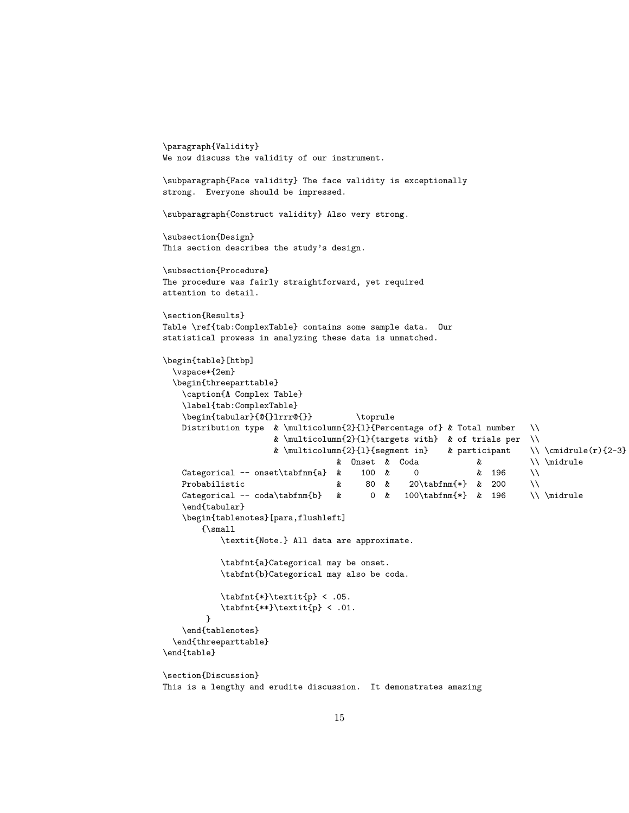```
\paragraph{Validity}
We now discuss the validity of our instrument.
\subparagraph{Face validity} The face validity is exceptionally
strong. Everyone should be impressed.
\subparagraph{Construct validity} Also very strong.
\subsection{Design}
This section describes the study's design.
\subsection{Procedure}
The procedure was fairly straightforward, yet required
attention to detail.
\section{Results}
Table \ref{tab:ComplexTable} contains some sample data. Our
statistical prowess in analyzing these data is unmatched.
\begin{table}[htbp]
  \vspace*{2em}
  \begin{threeparttable}
    \caption{A Complex Table}
    \label{tab:ComplexTable}
    \begin{tabular}{@{}lrrr@{}} \toprule
   Distribution type & \multicolumn{2}{l}{Percentage of} & Total number \\
                     & \multicolumn{2}{l}{targets with} & of trials per \\
                     & \multicolumn{2}{l}{segment in} & participant \\ \cmidrule(r){2-3}
                                 & Onset & Coda & \\ \midrule
   Categorical -- onset\tabfnm{a} & 100 & 0 \& 196 \\
   Probabilistic \& 80 \& 20\tabfnm{*} & 200 \\
   Categorical -- coda\tabfnm{b} & 0 & 100\tabfnm{*} & 196 \\\midrule
    \end{tabular}
    \begin{tablenotes}[para,flushleft]
       {\small
           \textit{Note.} All data are approximate.
           \tabfnt{a}Categorical may be onset.
           \tabfnt{b}Categorical may also be coda.
           \tabfnt{*}\textit{p} < .05.
           \tabfnt{**}\textit{p} < .01.
        }
    \end{tablenotes}
  \end{threeparttable}
\end{table}
\section{Discussion}
This is a lengthy and erudite discussion. It demonstrates amazing
```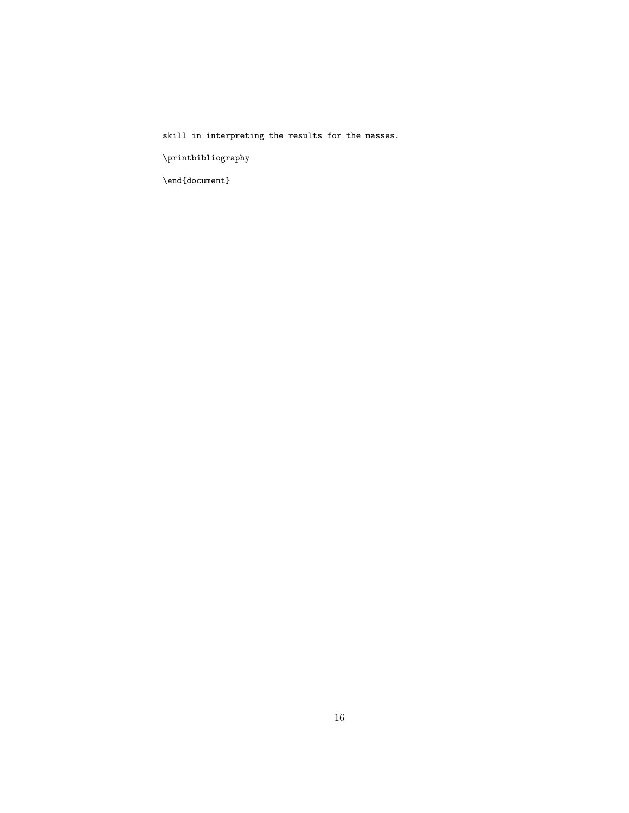skill in interpreting the results for the masses.

 $\verb|\printbibliography|$ 

 $\verb|\end{document}|$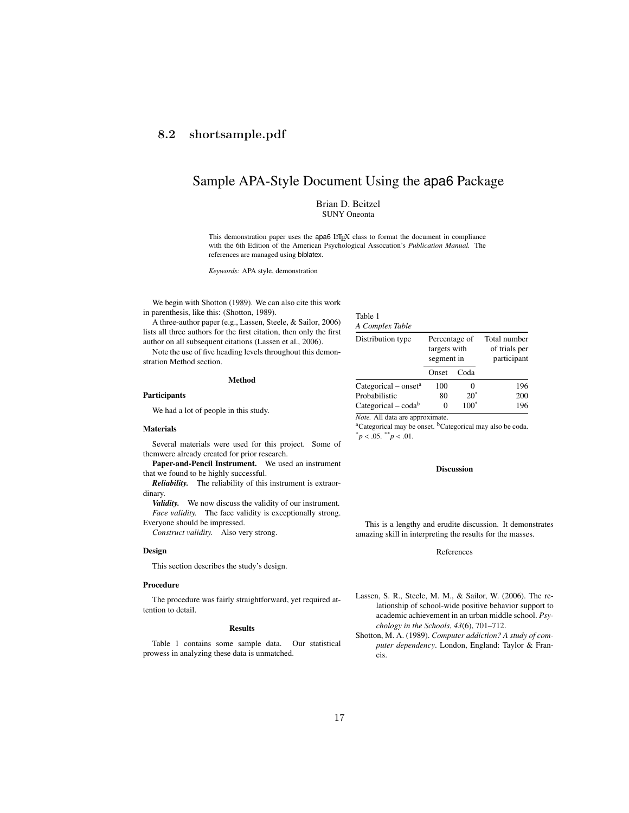## **8.2 shortsample.pdf**

## Sample APA-Style Document Using the apa6 Package

Brian D. Beitzel SUNY Oneonta

This demonstration paper uses the apa6 LATEX class to format the document in compliance with the 6th Edition of the American Psychological Assocation's *Publication Manual.* The references are managed using biblatex.

> Table 1 *A Complex Table*

*Keywords:* APA style, demonstration

We begin with Shotton (1989). We can also cite this work in parenthesis, like this: (Shotton, 1989).

A three-author paper (e.g., Lassen, Steele, & Sailor, 2006) lists all three authors for the first citation, then only the first author on all subsequent citations (Lassen et al., 2006).

Note the use of five heading levels throughout this demonstration Method section.

|                                       |                                        | Onset | Coda    |     |
|---------------------------------------|----------------------------------------|-------|---------|-----|
| Method                                | Categorical – onset <sup>a</sup>       | 100   |         | 196 |
| <b>Participants</b>                   | Probabilistic                          | 80    | $20^*$  | 200 |
| We had a lot of people in this study. | Categorical – $\text{coda}^b$          |       | $100^*$ | 196 |
|                                       | <i>Note.</i> All data are approximate. |       |         |     |

#### **Materials**

Several materials were used for this project. Some of themwere already created for prior research.

Paper-and-Pencil Instrument. We used an instrument that we found to be highly successful.

*Reliability.* The reliability of this instrument is extraordinary.

*Validity.* We now discuss the validity of our instrument. *Face validity.* The face validity is exceptionally strong. Everyone should be impressed.

*Construct validity.* Also very strong.

#### **Design**

This section describes the study's design.

#### Procedure

The procedure was fairly straightforward, yet required attention to detail.

#### Results

Table 1 contains some sample data. Our statistical prowess in analyzing these data is unmatched.

<sup>a</sup>Categorical may be onset. <sup>b</sup>Categorical may also be coda.  $p < .05.$  \*\*  $p < .01.$ 

Distribution type Percentage of Total number

targets with of trials per segment in participant

#### Discussion

This is a lengthy and erudite discussion. It demonstrates amazing skill in interpreting the results for the masses.

#### References

- Lassen, S. R., Steele, M. M., & Sailor, W. (2006). The relationship of school-wide positive behavior support to academic achievement in an urban middle school. *Psychology in the Schools*, *43*(6), 701–712.
- Shotton, M. A. (1989). *Computer addiction? A study of computer dependency*. London, England: Taylor & Francis.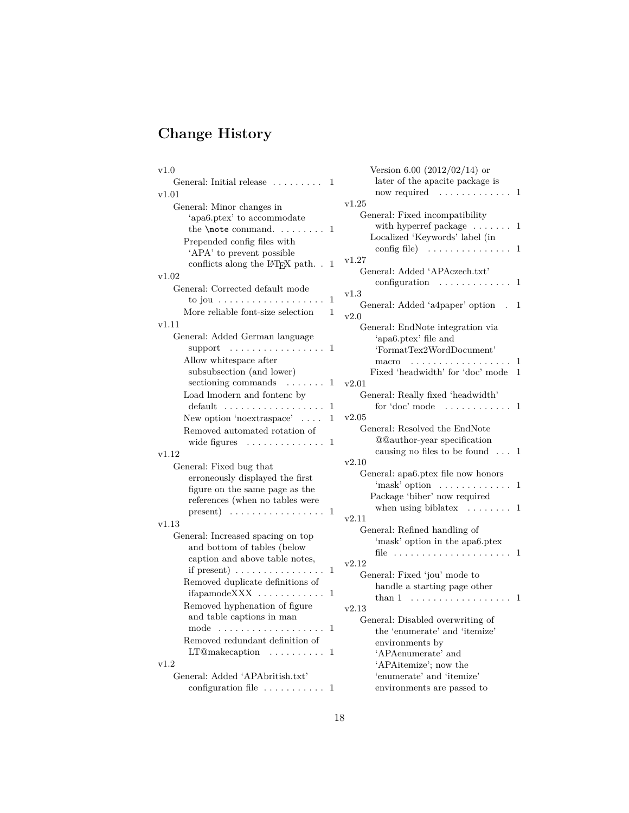# **Change History**

| v1.0                                                 | Version 6.00 $(2012/02/14)$ or                                            |
|------------------------------------------------------|---------------------------------------------------------------------------|
| General: Initial release<br>1                        | later of the apacite package is                                           |
| v1.01                                                | now required<br>.<br>. 1                                                  |
| General: Minor changes in                            | v1.25                                                                     |
| 'apa6.ptex' to accommodate                           | General: Fixed incompatibility                                            |
| the $\theta$ command.<br>1                           | with hyperref package $\dots \dots 1$                                     |
| Prepended config files with                          | Localized 'Keywords' label (in                                            |
| 'APA' to prevent possible                            | config file)<br>. 1<br>v1.27                                              |
| conflicts along the $E\mathbb{T}K$ path<br>1         | General: Added 'APAczech.txt'                                             |
| v1.02                                                | configuration<br>. 1                                                      |
| General: Corrected default mode                      | v1.3                                                                      |
| to jou $\dots \dots \dots \dots \dots$<br>1          | General: Added 'a4paper' option<br>1                                      |
| More reliable font-size selection<br>1               | v2.0                                                                      |
| v1.11                                                | General: EndNote integration via                                          |
| General: Added German language                       | 'apa6.ptex' file and                                                      |
| support $\dots\dots\dots\dots\dots\dots$             | 'FormatTex2WordDocument'                                                  |
| Allow whitespace after                               | macro<br>.                                                                |
| subsubsection (and lower)                            | Fixed 'headwidth' for 'doc' mode<br>$\mathbf{1}$                          |
| sectioning commands $\dots \dots 1$                  | v2.01                                                                     |
| Load lmodern and fontenc by                          | General: Really fixed 'headwidth'                                         |
| default $\ldots \ldots \ldots \ldots$<br>1           | for 'doc' mode<br>. 1                                                     |
| New option 'no extraspace' $\dots$<br>$\mathbf{1}$   | v2.05                                                                     |
| Removed automated rotation of                        | General: Resolved the EndNote                                             |
| wide figures<br>.<br>1                               | <b>@@author-year specification</b><br>causing no files to be found<br>. 1 |
| v1.12                                                | v2.10                                                                     |
| General: Fixed bug that                              | General: apa6.ptex file now honors                                        |
| erroneously displayed the first                      | $\text{``mask'} \text{ option } \dots \dots \dots \dots$<br>1             |
| figure on the same page as the                       | Package 'biber' now required                                              |
| references (when no tables were<br>$present)$<br>1   | when using biblatex $\dots \dots 1$                                       |
| v1.13                                                | v2.11                                                                     |
| General: Increased spacing on top                    | General: Refined handling of                                              |
| and bottom of tables (below                          | 'mask' option in the apa6.ptex                                            |
| caption and above table notes,                       | file<br>1                                                                 |
| if present) $\dots \dots \dots \dots$<br>1           | v2.12                                                                     |
| Removed duplicate definitions of                     | General: Fixed 'jou' mode to                                              |
| ifapamodeXXX<br>1                                    | handle a starting page other                                              |
| Removed hyphenation of figure                        | than 1<br>.<br>v2.13                                                      |
| and table captions in man                            |                                                                           |
| mode $\dots\dots\dots\dots\dots\dots\dots\dots$<br>1 | General: Disabled overwriting of<br>the 'enumerate' and 'itemize'         |
| Removed redundant definition of                      | environments by                                                           |
| 1                                                    | 'APAenumerate' and                                                        |
| v1.2                                                 | 'APAitemize'; now the                                                     |
| General: Added 'APAbritish.txt'                      | 'enumerate' and 'itemize'                                                 |
| configuration file $\dots \dots \dots 1$             | environments are passed to                                                |